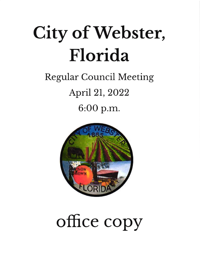# City of Webster, Florida

### Regular Council Meeting April 2L,2022 6:OO p.m.



## office copy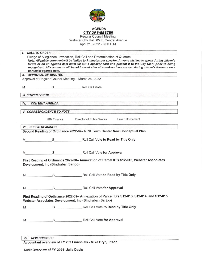

### AGENDA CITY OF WEBSTER

Regular Council Meeting Webster City Hall, 85 E. Central Avenue April 21, 2022 - 6:00 P.M.

| $\mathbf{I}$ .<br><b>CALL TO ORDER</b> |                                     |                                                                                                                                                                                                                                                                                                                                                                                                               |
|----------------------------------------|-------------------------------------|---------------------------------------------------------------------------------------------------------------------------------------------------------------------------------------------------------------------------------------------------------------------------------------------------------------------------------------------------------------------------------------------------------------|
|                                        | particular agenda item.             | Pledge of Allegiance, Invocation, Roll Call and Determination of Quorum<br>Note. All public comment will be limited to 3 minutes per speaker. Anyone wishing to speak during citizen's<br>forum or on an agenda item must fill out a speaker card and present it to the City Clerk prior to being<br>recognized. All comments will be addressed after all speakers have spoken during citizen's forum or on a |
|                                        | <b>II. APPROVAL OF MINUTES</b>      |                                                                                                                                                                                                                                                                                                                                                                                                               |
|                                        |                                     | Approval of Regular Council Meeting - March 24, 2022                                                                                                                                                                                                                                                                                                                                                          |
| M                                      |                                     | S Roll Call Vote                                                                                                                                                                                                                                                                                                                                                                                              |
| <b>III. CITIZEN FORUM</b>              |                                     |                                                                                                                                                                                                                                                                                                                                                                                                               |
| IV.                                    | <b>CONSENT AGENDA</b>               | of the Timber College of Herman Computer (1989) and the control of the control of the control of the state of                                                                                                                                                                                                                                                                                                 |
|                                        | <b>V. CORRESPONDENCE TO NOTE</b>    |                                                                                                                                                                                                                                                                                                                                                                                                               |
|                                        | HR/ Finance                         | Director of Public Works Law Enforcement                                                                                                                                                                                                                                                                                                                                                                      |
| <b>VI. PUBLIC HEARINGS</b>             |                                     |                                                                                                                                                                                                                                                                                                                                                                                                               |
|                                        |                                     | Second Reading of Ordinance 2022-07- RRR Town Center New Conceptual Plan                                                                                                                                                                                                                                                                                                                                      |
| M                                      |                                     | S Roll Call Vote to Read by Title Only                                                                                                                                                                                                                                                                                                                                                                        |
| M                                      |                                     | S Roll Call Vote for Approval                                                                                                                                                                                                                                                                                                                                                                                 |
|                                        | Development, Inc (Bindraban Sarjoo) | First Reading of Ordinance 2022-08- Annexation of Parcel ID's S12-016, Webster Associates                                                                                                                                                                                                                                                                                                                     |
| M                                      |                                     | S Roll Call Vote to Read by Title Only                                                                                                                                                                                                                                                                                                                                                                        |
| M                                      |                                     | S Roll Call Vote for Approval                                                                                                                                                                                                                                                                                                                                                                                 |
|                                        |                                     | First Reading of Ordinance 2022-09- Annexation of Parcel ID's S12-013, S12-014, and S12-015<br>Webster Associates Development, Inc (Bindraban Sarjoo)                                                                                                                                                                                                                                                         |
|                                        |                                     |                                                                                                                                                                                                                                                                                                                                                                                                               |
|                                        |                                     |                                                                                                                                                                                                                                                                                                                                                                                                               |
|                                        |                                     |                                                                                                                                                                                                                                                                                                                                                                                                               |

VII. NEW BUSINESS

Accountant overview of FY 202 Financials - Mike Brynjulfson